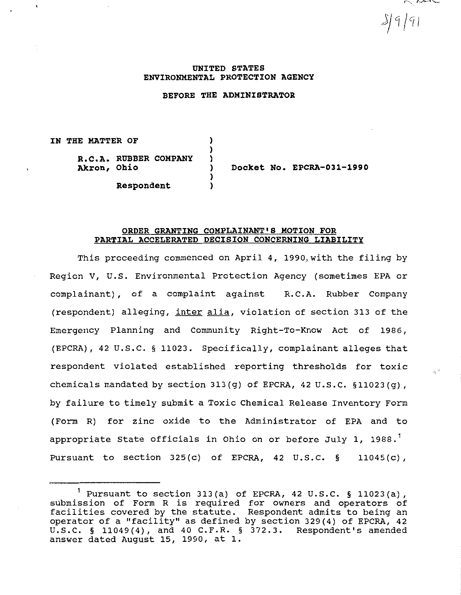$\sim$ 

 $3|9|9|$ 

### **UNITED STATES ENVIRONMENTAL PROTECTION AGENCY**

## **BEFORE THE ADMINISTRATOR**

**IN THE MATTER OF R.C.A. RUBBER COMPANY Akron, Ohio**  ) ) ) ) )

**Respondent** 

**Docket No. EPCRA-031-1990** 

### **ORDER GRANTING COMPLAINANT'S MOTION FOR PARTIAL ACCELERATED DECISION CONCERNING LIABILITY**

)

This proceeding commenced on April 4, 1990, with the filing by Region V, U.S. Environmental Protection Agency (sometimes EPA or complainant), of a complaint against R.C.A. Rubber Company (respondent) alleging, inter alia, violation of section 313 of the Emergency Planning and Community Right-To-Know Act of 1986, (EPCRA), 42 u.s.c. § 11023. Specifically, complainant alleges that respondent violated established reporting thresholds for toxic chemicals mandated by section  $313(g)$  of EPCRA,  $42 \text{ U.S.C. }$   $$11023(g)$ , by failure to timely submit a Toxic Chemical Release Inventory Form (Form R) for zinc oxide to the Administrator of EPA and to appropriate State officials in Ohio on or before July 1, 1988.<sup>1</sup> Pursuant to section  $325(c)$  of EPCRA, 42 U.S.C. § 11045 $(c)$ ,

<sup>&</sup>lt;sup>1</sup> Pursuant to section 313(a) of EPCRA, 42 U.S.C. § 11023(a), submission of Form R is required for owners and operators of facilities covered by the statute. Respondent admits to being an operator of a "facility" as defined by section 329(4) of EPCRA, 42 u.s.c. § 11049(4), and 40 C.F.R. § 372.3. Respondent's amended answer dated August 15, 1990, at 1.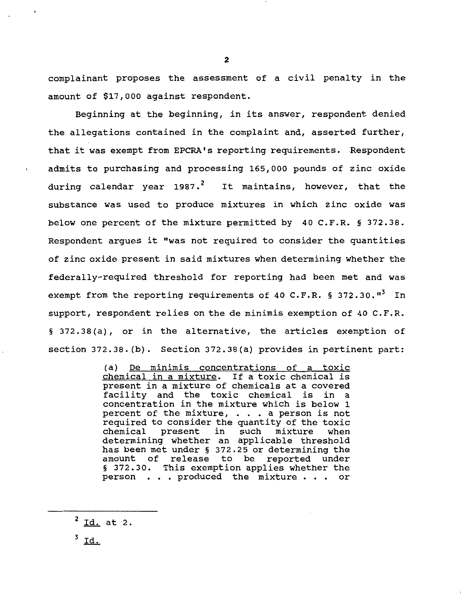complainant proposes the assessment of a civil penalty in the amount of \$17,000 against respondent.

Beginning at the beginning, in its answer, respondent denied the allegations contained in the complaint and, asserted further, that it was exempt from EPCRA's reporting requirements. Respondent admits to purchasing and processing 165,000 pounds of zinc oxide during calendar year 1987.<sup>2</sup> It maintains, however, that the substance was used to produce mixtures in which zinc oxide was below one percent of the mixture permitted by 40 C.F.R. § 372.38. Respondent argues it "was not required to consider the quantities of zinc oxide present in said mixtures when determining whether the federally-required threshold for reporting had been met and was exempt from the reporting requirements of 40 C.F.R. § 372.30. $^{\text{H}^3}$  In support, respondent relies on the de minimis exemption of 40 C.F.R. § 372.38(a), or in the alternative, the articles exemption of section 372.38. (b). Section 372.38(a) provides in pertinent part:

> (a) De minimis concentrations of a toxic chemical in a mixture. If a toxic chemical is present in a mixture of chemicals at a covered facility and the toxic chemical is in a ractification in the mixture which is below 1<br>percent of the mixture, ... a person is not<br>regulared to consider the guantity of the teujour percent of the mixture, . . . a person is not<br>required to consider the quantity of the toxic<br>chemical present in such mixture when chemical present in such mixture when determining whether an applicable threshold has been met under§ 372.25 or determining the amount of release to be reported under § 372.30. This exemption applies whether the person . . . produced the mixture . . . or

 $\frac{2}{10}$  at 2.

 $^3$  Id.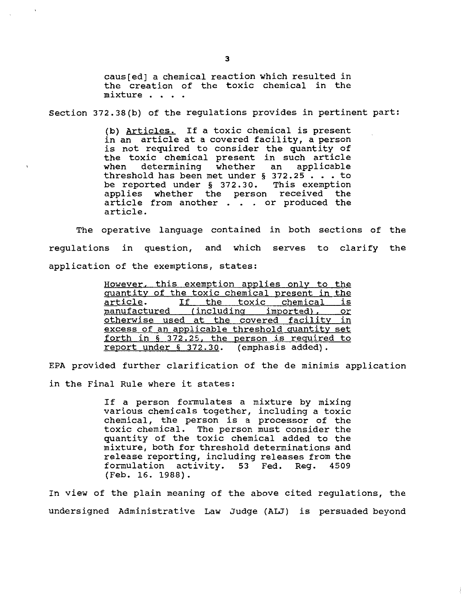caus(ed] a chemical reaction which resulted in the creation of the toxic chemical in the mixture . . . .

Section 372.38(b) of the regulations provides in pertinent part:

(b) Articles. If a toxic chemical is present in an article at a covered facility, a person is not required to consider the quantity of the toxic chemical present in such article<br>when determining whether an applicable determining whether threshold has been met under § 372.25 •.• to be reported under § 372.30. This exemption applies whether the person received the article from another . . . or produced the article.

The operative language contained in both sections of the regulations in question, and which serves to clarify the application of the exemptions, states:

> However. this exemption applies only to the quantity of the toxic chemical present in the<br>article. If the toxic chemical is article. If the toxic chemical is<br>manufactured (including imported), or (including imported), otherwise used at the covered facility in excess of an applicable threshold quantity set forth in § 372.25. the person is required to report under§ 372.30. (emphasis added).

EPA provided further clarification of the de minimis application in the Final Rule where it states:

> If a person formulates a mixture by mixing various chemicals together, including a toxic chemical, the person is a processor of the toxic chemical. The person must consider the quantity of the toxic chemical added to the mixture, both for threshold determinations and release reporting, including releases from the<br>formulation activity. 53 Fed. Reg. 4509 formulation activity. 53 Fed. (Feb. 16. 1988).

In view of the plain meaning of the above cited regulations, the undersigned Administrative Law Judge (ALJ) is persuaded beyond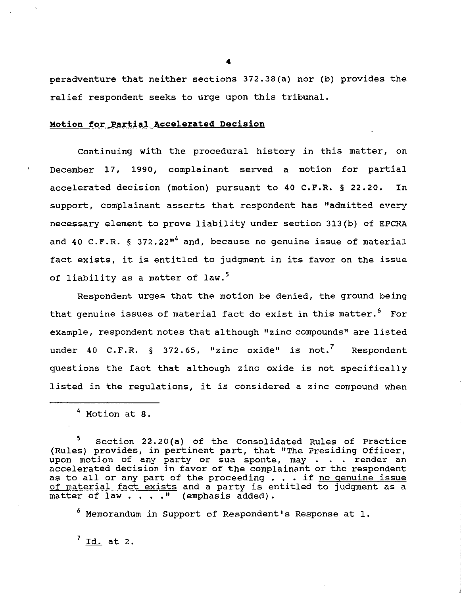peradventure that neither sections 372.38(a) nor (b) provides the relief respondent seeks to urge upon this tribunal.

# **Motion for Partial Accelerated Decision**

Continuing with the procedural history in this matter, on December 17, 1990, complainant served a motion for partial accelerated decision (motion) pursuant to 40 C.F.R. § 22.20. In support, complainant asserts that respondent has "admitted every necessary element to prove liability under section 313(b) of EPCRA and 40 C.F.R. § 372.22"<sup>4</sup> and, because no genuine issue of material fact exists, it is entitled to judgment in its favor on the issue of liability as a matter of law.<sup>5</sup>

Respondent urges that the motion be denied, the ground being that genuine issues of material fact do exist in this matter.<sup>6</sup> For example, respondent notes that although "zinc compounds" are listed under 40 C.F.R.  $\S$  372.65, "zinc oxide" is not.<sup>7</sup> Respondent questions the fact that although zinc oxide is not specifically listed in the regulations, it is considered a zinc compound when

5 Section 22.20 (a) of the Consolidated Rules of Practice (Rules) provides, in pertinent part, that "The Presiding Officer, upon motion of any party or sua sponte, may . . . render an accelerated decision in favor of the complainant or the respondent as to all or any part of the proceeding  $\cdot \cdot \cdot$  if no genuine issue of material fact exists and a party is entitled to judgment as a matter of law  $\ldots$  ." (emphasis added).

6 Memorandum in Support of Respondent's Response at 1.

 $<sup>7</sup>$  Id. at 2.</sup>

<sup>4</sup> Motion at 8.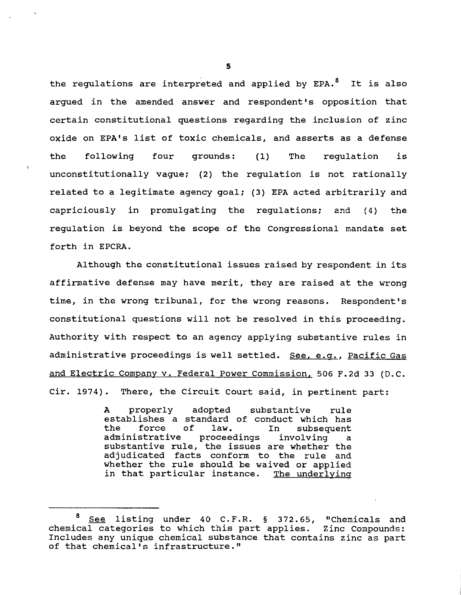the regulations are interpreted and applied by EPA.<sup>8</sup> It is also argued in the amended answer and respondent's opposition that certain constitutional questions regarding the inclusion of zinc oxide on EPA's list of toxic chemicals, and asserts as a defense the following four grounds: (1) The regulation is unconstitutionally vague; (2) the regulation is not rationally related to a legitimate agency goal; (3) EPA acted arbitrarily and capriciously in promulgating the regulations; and (4) the regulation is beyond the scope of the Congressional mandate set forth in EPCRA.

Although the constitutional issues raised by respondent in its affirmative defense may have merit, they are raised at the wrong time, in the wrong tribunal, for the wrong reasons. Respondent's constitutional questions will not be resolved in this proceeding. Authority with respect to an agency applying substantive rules in administrative proceedings is well settled. See, e.g., Pacific Gas and Electric Company v. Federal Power Commission. 506 F.2d 33 (D.C. Cir. 1974). There, the Circuit Court said, in pertinent part:

> A properly adopted substantive rule establishes a standard of conduct which has<br>the force of law. In subsequent the force of law. In subsequent proceedings involving a substantive rule, the issues are whether the adjudicated facts conform to the rule and whether the rule should be waived or applied in that particular instance. The underlying

See listing under 40 C.F.R. § 372.65, "Chemicals and<br>1 categories to which this part applies. Zinc Compounds:  $chemical$  categories to which this part applies. Includes any unique chemical substance that contains zinc as part of that chemical's infrastructure."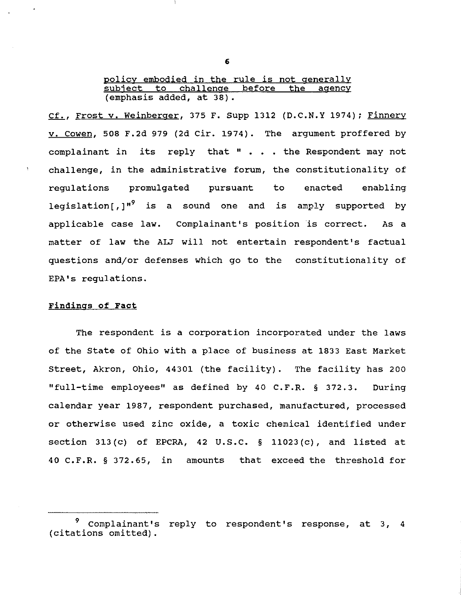policy embodied in the rule is not generally<br>subject to challenge before the agency to challenge before the (emphasis added, at 38) •

Cf., Frost v. Weinberger, 375 F. Supp 1312 (D.C.N.Y 1974); Finnery v. cowen, 508 F.2d 979 (2d Cir. 1974). The argument proffered by complainant in its reply that " . . . the Respondent may not challenge, in the administrative forum, the constitutionality of regulations promulgated pursuant to enacted enabling legislation [, ]<sup>"</sup> is a sound one and is amply supported by applicable case law. Complainant's position is correct. As a matter of law the ALJ will not entertain respondent's factual questions and/or defenses which go to the constitutionality of EPA's regulations.

## Findings of Fact

The respondent is a corporation incorporated under the laws of the State of Ohio with a place of business at 1833 East Market Street, Akron, Ohio, 44301 (the facility). The facility has 200 "full-time employees" as defined by 40 C.F.R. § 372.3. During calendar year 1987, respondent purchased, manufactured, processed or otherwise used zinc oxide, a toxic chemical identified under section 313(c) of EPCRA, 42 U.S.C.  $\S$  11023(c), and listed at 40 C.F.R. § 372.65, in amounts that exceed the threshold for

6

<sup>9</sup> Complainant's reply to respondent's response, at 3, 4 (citations omitted).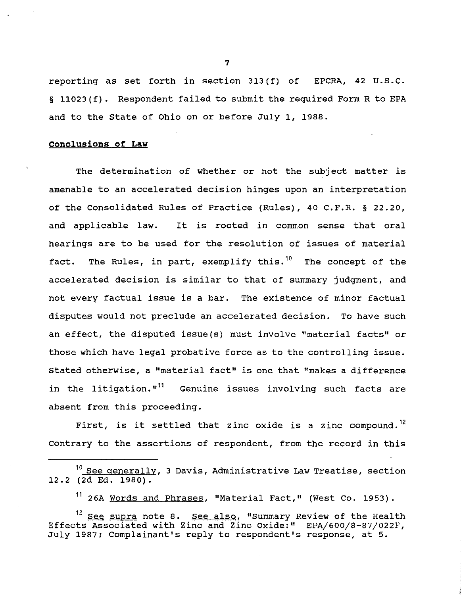reporting as set forth in section 313 (f) of EPCRA, 42 U.S.C. § 11023 (f). Respondent failed to submit the required Form R to EPA and to the state of Ohio on or before July 1, 1988.

### **conclusions of Law**

The determination of whether or not the subject matter is amenable to an accelerated decision hinges upon an interpretation of the Consolidated Rules of Practice (Rules), 40 C.F.R. § 22.20, and applicable law. It is rooted in common sense that oral hearings are to be used for the resolution of issues of material fact. The Rules, in part, exemplify this.<sup>10</sup> The concept of the accelerated decision is similar to that of summary judgment, and not every factual issue is a bar. The existence of minor factual disputes would not preclude an accelerated decision. To have such an effect, the disputed issue(s) must involve "material facts" or those which have legal probative force as to the controlling issue. Stated otherwise, a "material fact" is one that "makes a difference in the litigation."<sup>11</sup> Genuine issues involving such facts are absent from this proceeding.

First, is it settled that zinc oxide is a zinc compound.<sup>12</sup> Contrary to the assertions of respondent, from the record in this

<sup>11</sup> 26A Words and Phrases, "Material Fact," (West Co. 1953).

7

<sup>&</sup>lt;sup>10</sup> See generally, 3 Davis, Administrative Law Treatise, section 12.2 (2d Ed. 1980).

<sup>&</sup>lt;sup>12</sup> See supra note 8. See also, "Summary Review of the Health Effects Associated with Zinc and Zinc Oxide:" EPA/600/8-87/022F, July 1987; Complainant's reply to respondent's response, at 5.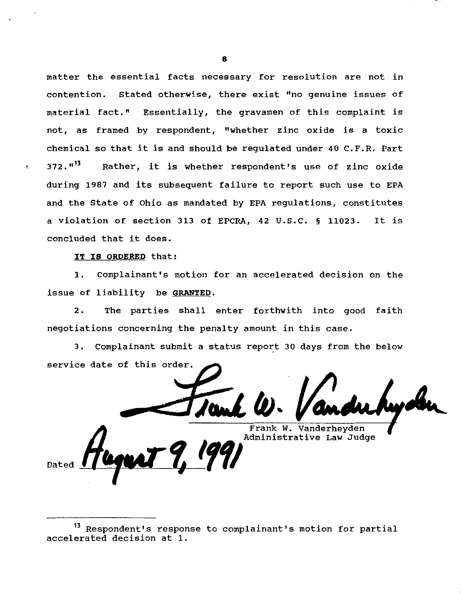matter the essential facts necessary for resolution are not in contention. stated otherwise, there exist "no genuine issues of material fact." Essentially, the gravamen of this complaint is not, as framed by respondent, "whether zinc oxide is a toxic chemical so that it is and should be regulated under 40 C.F.R. Part 372.<sup>"13</sup> Rather, it is whether respondent's use of zinc oxide during 1987 and its subsequent failure to report such use to EPA and the state of Ohio as mandated by EPA regulations, constitutes a violation of section 313 of EPCRA, 42 u.s.c. § 11023. It is concluded that it does.

IT IS ORDERED that:

Dated

1. Complainant's motion for an accelerated decision on the issue of liability be GRANTED.

2. The parties shall enter forthwith into good faith negotiations concerning the penalty amount in this case.

3. Complainant submit a status report 30 days from the below service date of this order.

Frank W. Vanderheyden Administrative Law Judge

13 Respondent's response to complainant's motion for partial accelerated decision at 1.

8